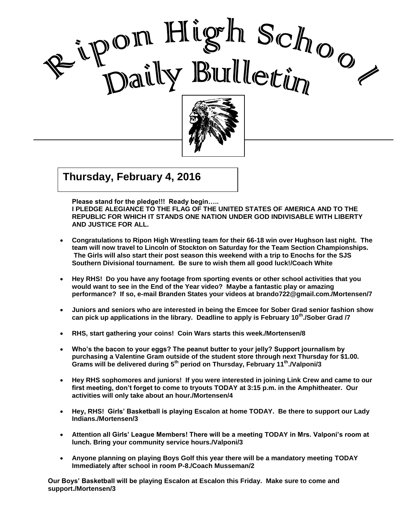



## $\overline{\phantom{a}}$ Good Morning Ripon High **Thursday, February 4, 2016**

 **Please stand for the pledge!!! Ready begin….. I PLEDGE ALEGIANCE TO THE FLAG OF THE UNITED STATES OF AMERICA AND TO THE REPUBLIC FOR WHICH IT STANDS ONE NATION UNDER GOD INDIVISABLE WITH LIBERTY AND JUSTICE FOR ALL.**

- **Congratulations to Ripon High Wrestling team for their 66-18 win over Hughson last night. The team will now travel to Lincoln of Stockton on Saturday for the Team Section Championships. The Girls will also start their post season this weekend with a trip to Enochs for the SJS Southern Divisional tournament. Be sure to wish them all good luck!/Coach White**
- **Hey RHS! Do you have any footage from sporting events or other school activities that you would want to see in the End of the Year video? Maybe a fantastic play or amazing performance? If so, e-mail Branden States your videos at brando722@gmail.com./Mortensen/7**
- **Juniors and seniors who are interested in being the Emcee for Sober Grad senior fashion show can pick up applications in the library. Deadline to apply is February 10th./Sober Grad /7**
- **RHS, start gathering your coins! Coin Wars starts this week./Mortensen/8**
- **Who's the bacon to your eggs? The peanut butter to your jelly? Support journalism by purchasing a Valentine Gram outside of the student store through next Thursday for \$1.00. Grams will be delivered during 5th period on Thursday, February 11th ./Valponi/3**
- **Hey RHS sophomores and juniors! If you were interested in joining Link Crew and came to our first meeting, don't forget to come to tryouts TODAY at 3:15 p.m. in the Amphitheater. Our activities will only take about an hour./Mortensen/4**
- **Hey, RHS! Girls' Basketball is playing Escalon at home TODAY. Be there to support our Lady Indians./Mortensen/3**
- **Attention all Girls' League Members! There will be a meeting TODAY in Mrs. Valponi's room at lunch. Bring your community service hours./Valponi/3**
- **Anyone planning on playing Boys Golf this year there will be a mandatory meeting TODAY Immediately after school in room P-8./Coach Musseman/2**

**Our Boys' Basketball will be playing Escalon at Escalon this Friday. Make sure to come and support./Mortensen/3**